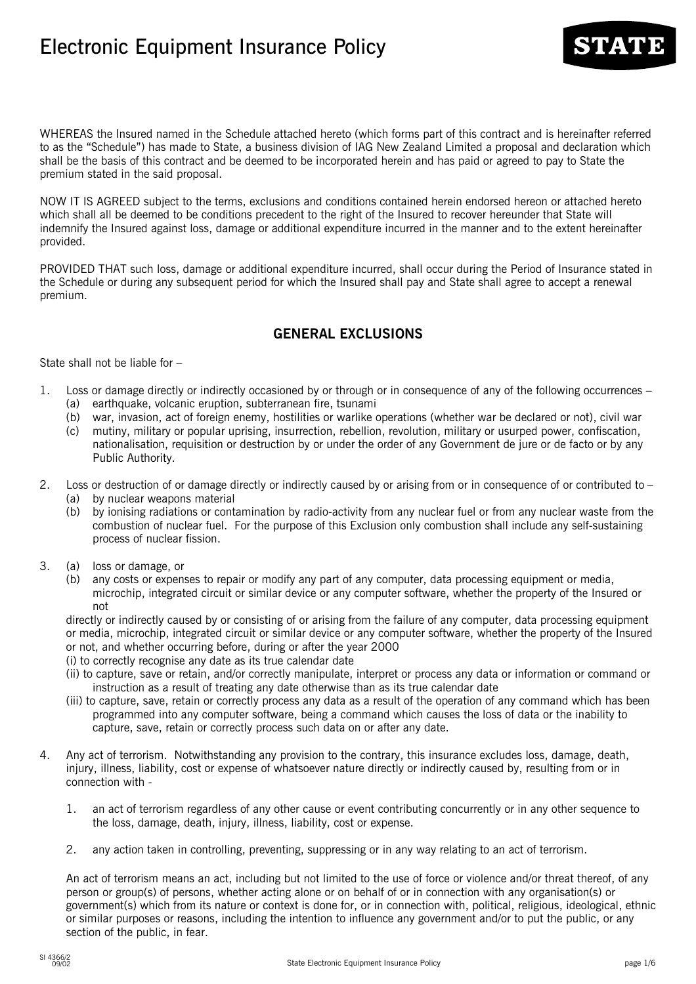# Electronic Equipment Insurance Policy

WHEREAS the Insured named in the Schedule attached hereto (which forms part of this contract and is hereinafter referred to as the "Schedule") has made to State, a business division of IAG New Zealand Limited a proposal and declaration which shall be the basis of this contract and be deemed to be incorporated herein and has paid or agreed to pay to State the premium stated in the said proposal.

NOW IT IS AGREED subject to the terms, exclusions and conditions contained herein endorsed hereon or attached hereto which shall all be deemed to be conditions precedent to the right of the Insured to recover hereunder that State will indemnify the Insured against loss, damage or additional expenditure incurred in the manner and to the extent hereinafter provided.

PROVIDED THAT such loss, damage or additional expenditure incurred, shall occur during the Period of Insurance stated in the Schedule or during any subsequent period for which the Insured shall pay and State shall agree to accept a renewal premium.

# **GENERAL EXCLUSIONS**

State shall not be liable for –

- 1. Loss or damage directly or indirectly occasioned by or through or in consequence of any of the following occurrences (a) earthquake, volcanic eruption, subterranean fire, tsunami
	- (b) war, invasion, act of foreign enemy, hostilities or warlike operations (whether war be declared or not), civil war
	- (c) mutiny, military or popular uprising, insurrection, rebellion, revolution, military or usurped power, confiscation, nationalisation, requisition or destruction by or under the order of any Government de jure or de facto or by any Public Authority.
- 2. Loss or destruction of or damage directly or indirectly caused by or arising from or in consequence of or contributed to
	- (a) by nuclear weapons material
	- (b) by ionising radiations or contamination by radio-activity from any nuclear fuel or from any nuclear waste from the combustion of nuclear fuel. For the purpose of this Exclusion only combustion shall include any self-sustaining process of nuclear fission.
- 3. (a) loss or damage, or
	- (b) any costs or expenses to repair or modify any part of any computer, data processing equipment or media, microchip, integrated circuit or similar device or any computer software, whether the property of the Insured or not

directly or indirectly caused by or consisting of or arising from the failure of any computer, data processing equipment or media, microchip, integrated circuit or similar device or any computer software, whether the property of the Insured or not, and whether occurring before, during or after the year 2000

- (i) to correctly recognise any date as its true calendar date
- (ii) to capture, save or retain, and/or correctly manipulate, interpret or process any data or information or command or instruction as a result of treating any date otherwise than as its true calendar date
- (iii) to capture, save, retain or correctly process any data as a result of the operation of any command which has been programmed into any computer software, being a command which causes the loss of data or the inability to capture, save, retain or correctly process such data on or after any date.
- 4. Any act of terrorism. Notwithstanding any provision to the contrary, this insurance excludes loss, damage, death, injury, illness, liability, cost or expense of whatsoever nature directly or indirectly caused by, resulting from or in connection with -
	- 1. an act of terrorism regardless of any other cause or event contributing concurrently or in any other sequence to the loss, damage, death, injury, illness, liability, cost or expense.
	- 2. any action taken in controlling, preventing, suppressing or in any way relating to an act of terrorism.

An act of terrorism means an act, including but not limited to the use of force or violence and/or threat thereof, of any person or group(s) of persons, whether acting alone or on behalf of or in connection with any organisation(s) or government(s) which from its nature or context is done for, or in connection with, political, religious, ideological, ethnic or similar purposes or reasons, including the intention to influence any government and/or to put the public, or any section of the public, in fear.

**CARTARD**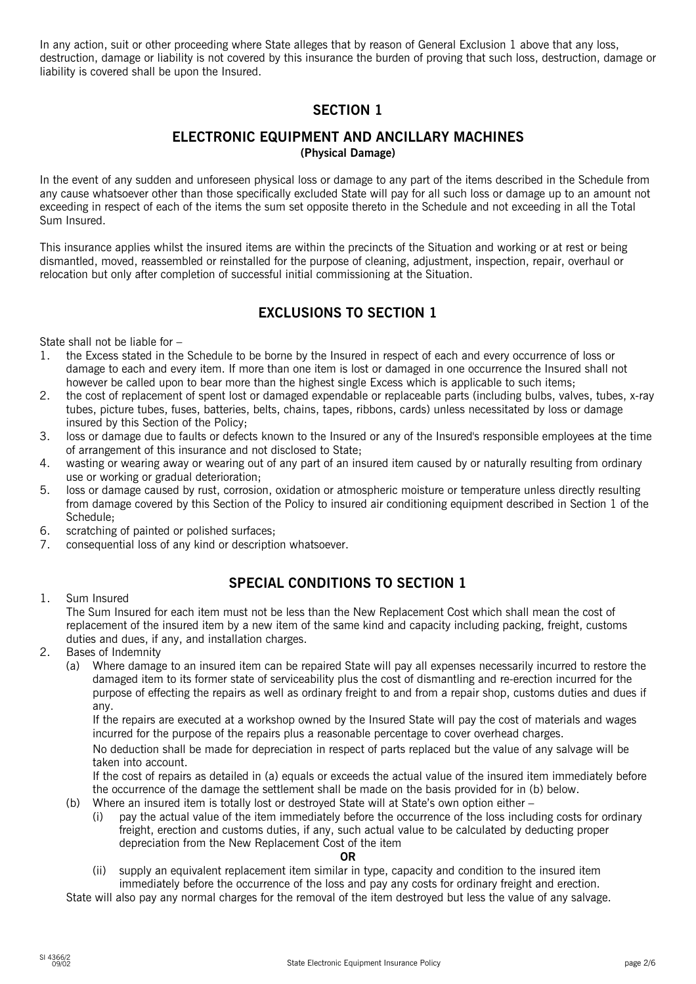In any action, suit or other proceeding where State alleges that by reason of General Exclusion 1 above that any loss, destruction, damage or liability is not covered by this insurance the burden of proving that such loss, destruction, damage or liability is covered shall be upon the Insured.

# **SECTION 1**

### **ELECTRONIC EQUIPMENT AND ANCILLARY MACHINES (Physical Damage)**

In the event of any sudden and unforeseen physical loss or damage to any part of the items described in the Schedule from any cause whatsoever other than those specifically excluded State will pay for all such loss or damage up to an amount not exceeding in respect of each of the items the sum set opposite thereto in the Schedule and not exceeding in all the Total Sum Insured.

This insurance applies whilst the insured items are within the precincts of the Situation and working or at rest or being dismantled, moved, reassembled or reinstalled for the purpose of cleaning, adjustment, inspection, repair, overhaul or relocation but only after completion of successful initial commissioning at the Situation.

# **EXCLUSIONS TO SECTION 1**

State shall not be liable for –

- 1. the Excess stated in the Schedule to be borne by the Insured in respect of each and every occurrence of loss or damage to each and every item. If more than one item is lost or damaged in one occurrence the Insured shall not however be called upon to bear more than the highest single Excess which is applicable to such items;
- 2. the cost of replacement of spent lost or damaged expendable or replaceable parts (including bulbs, valves, tubes, x-ray tubes, picture tubes, fuses, batteries, belts, chains, tapes, ribbons, cards) unless necessitated by loss or damage insured by this Section of the Policy;
- 3. loss or damage due to faults or defects known to the Insured or any of the Insured's responsible employees at the time of arrangement of this insurance and not disclosed to State;
- 4. wasting or wearing away or wearing out of any part of an insured item caused by or naturally resulting from ordinary use or working or gradual deterioration;
- 5. loss or damage caused by rust, corrosion, oxidation or atmospheric moisture or temperature unless directly resulting from damage covered by this Section of the Policy to insured air conditioning equipment described in Section 1 of the Schedule;
- 6. scratching of painted or polished surfaces;
- 7. consequential loss of any kind or description whatsoever.

# **SPECIAL CONDITIONS TO SECTION 1**

### 1. Sum Insured

The Sum Insured for each item must not be less than the New Replacement Cost which shall mean the cost of replacement of the insured item by a new item of the same kind and capacity including packing, freight, customs duties and dues, if any, and installation charges.

- 2. Bases of Indemnity
	- (a) Where damage to an insured item can be repaired State will pay all expenses necessarily incurred to restore the damaged item to its former state of serviceability plus the cost of dismantling and re-erection incurred for the purpose of effecting the repairs as well as ordinary freight to and from a repair shop, customs duties and dues if any.

If the repairs are executed at a workshop owned by the Insured State will pay the cost of materials and wages incurred for the purpose of the repairs plus a reasonable percentage to cover overhead charges.

No deduction shall be made for depreciation in respect of parts replaced but the value of any salvage will be taken into account.

If the cost of repairs as detailed in (a) equals or exceeds the actual value of the insured item immediately before the occurrence of the damage the settlement shall be made on the basis provided for in (b) below.

- (b) Where an insured item is totally lost or destroyed State will at State's own option either
	- (i) pay the actual value of the item immediately before the occurrence of the loss including costs for ordinary freight, erection and customs duties, if any, such actual value to be calculated by deducting proper depreciation from the New Replacement Cost of the item

#### **OR**

(ii) supply an equivalent replacement item similar in type, capacity and condition to the insured item immediately before the occurrence of the loss and pay any costs for ordinary freight and erection.

State will also pay any normal charges for the removal of the item destroyed but less the value of any salvage.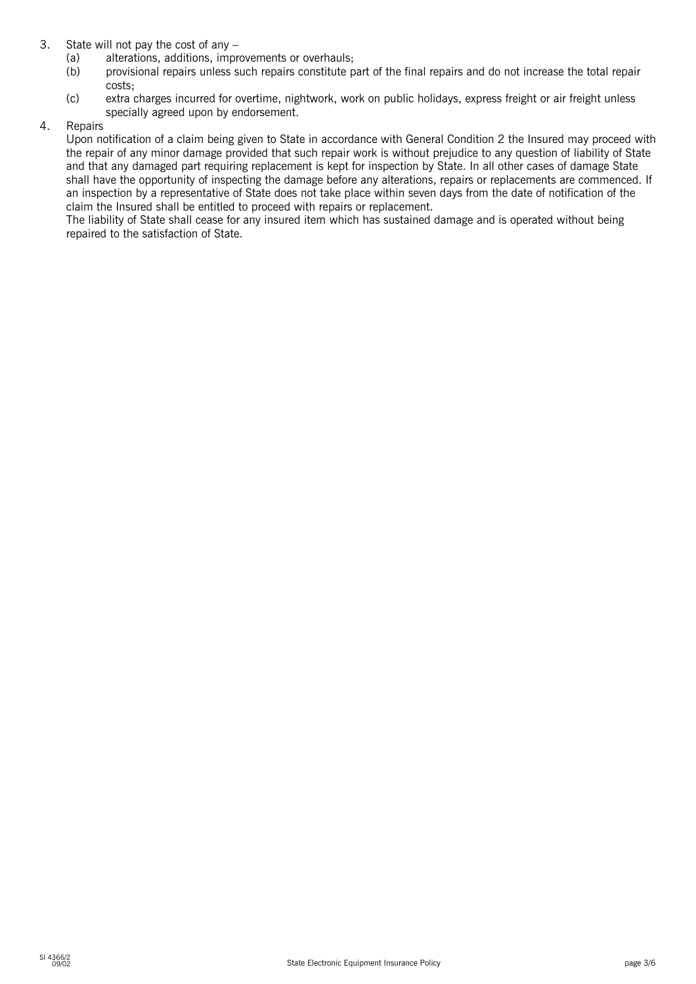- 3. State will not pay the cost of any
	- (a) alterations, additions, improvements or overhauls;
	- (b) provisional repairs unless such repairs constitute part of the final repairs and do not increase the total repair costs;
	- (c) extra charges incurred for overtime, nightwork, work on public holidays, express freight or air freight unless specially agreed upon by endorsement.
- 4. Repairs

Upon notification of a claim being given to State in accordance with General Condition 2 the Insured may proceed with the repair of any minor damage provided that such repair work is without prejudice to any question of liability of State and that any damaged part requiring replacement is kept for inspection by State. In all other cases of damage State shall have the opportunity of inspecting the damage before any alterations, repairs or replacements are commenced. If an inspection by a representative of State does not take place within seven days from the date of notification of the claim the Insured shall be entitled to proceed with repairs or replacement.

The liability of State shall cease for any insured item which has sustained damage and is operated without being repaired to the satisfaction of State.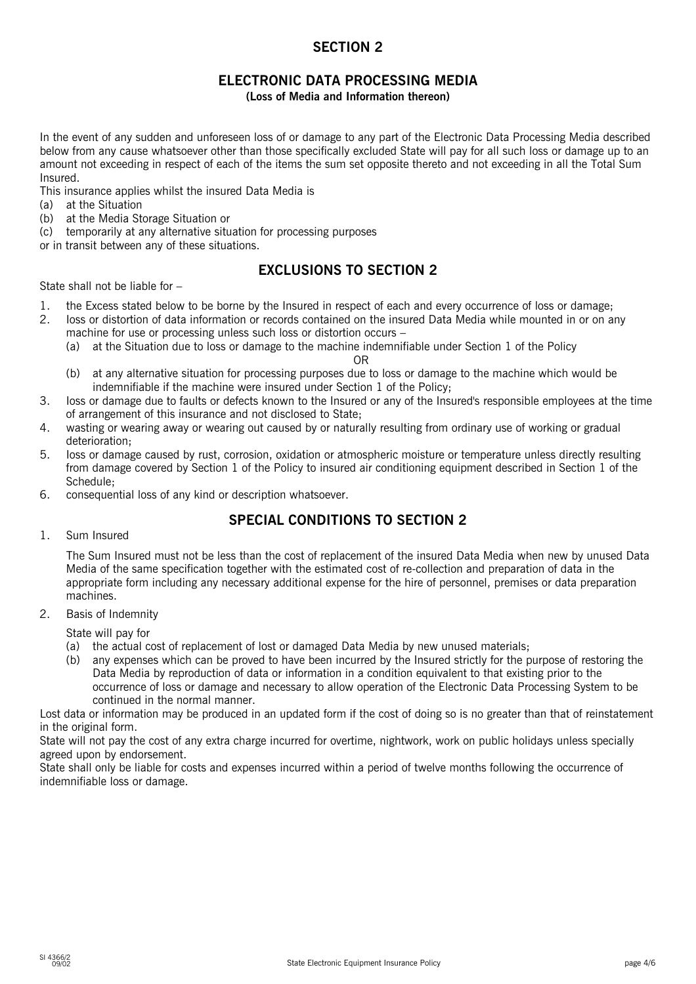# **SECTION 2**

# **ELECTRONIC DATA PROCESSING MEDIA**

**(Loss of Media and Information thereon)**

In the event of any sudden and unforeseen loss of or damage to any part of the Electronic Data Processing Media described below from any cause whatsoever other than those specifically excluded State will pay for all such loss or damage up to an amount not exceeding in respect of each of the items the sum set opposite thereto and not exceeding in all the Total Sum Insured.

This insurance applies whilst the insured Data Media is

- (a) at the Situation
- (b) at the Media Storage Situation or
- (c) temporarily at any alternative situation for processing purposes

or in transit between any of these situations.

# **EXCLUSIONS TO SECTION 2**

State shall not be liable for –

- 1. the Excess stated below to be borne by the Insured in respect of each and every occurrence of loss or damage;
- 2. Ioss or distortion of data information or records contained on the insured Data Media while mounted in or on any machine for use or processing unless such loss or distortion occurs –
	- (a) at the Situation due to loss or damage to the machine indemnifiable under Section 1 of the Policy

OR

- (b) at any alternative situation for processing purposes due to loss or damage to the machine which would be indemnifiable if the machine were insured under Section 1 of the Policy;
- 3. Ioss or damage due to faults or defects known to the Insured or any of the Insured's responsible employees at the time of arrangement of this insurance and not disclosed to State;
- 4. wasting or wearing away or wearing out caused by or naturally resulting from ordinary use of working or gradual deterioration;
- 5. Ioss or damage caused by rust, corrosion, oxidation or atmospheric moisture or temperature unless directly resulting from damage covered by Section 1 of the Policy to insured air conditioning equipment described in Section 1 of the Schedule;
- 6. consequential loss of any kind or description whatsoever.

# **SPECIAL CONDITIONS TO SECTION 2**

1. Sum Insured

The Sum Insured must not be less than the cost of replacement of the insured Data Media when new by unused Data Media of the same specification together with the estimated cost of re-collection and preparation of data in the appropriate form including any necessary additional expense for the hire of personnel, premises or data preparation machines.

2. Basis of Indemnity

State will pay for

(a) the actual cost of replacement of lost or damaged Data Media by new unused materials;

(b) any expenses which can be proved to have been incurred by the Insured strictly for the purpose of restoring the Data Media by reproduction of data or information in a condition equivalent to that existing prior to the occurrence of loss or damage and necessary to allow operation of the Electronic Data Processing System to be continued in the normal manner.

Lost data or information may be produced in an updated form if the cost of doing so is no greater than that of reinstatement in the original form.

State will not pay the cost of any extra charge incurred for overtime, nightwork, work on public holidays unless specially agreed upon by endorsement.

State shall only be liable for costs and expenses incurred within a period of twelve months following the occurrence of indemnifiable loss or damage.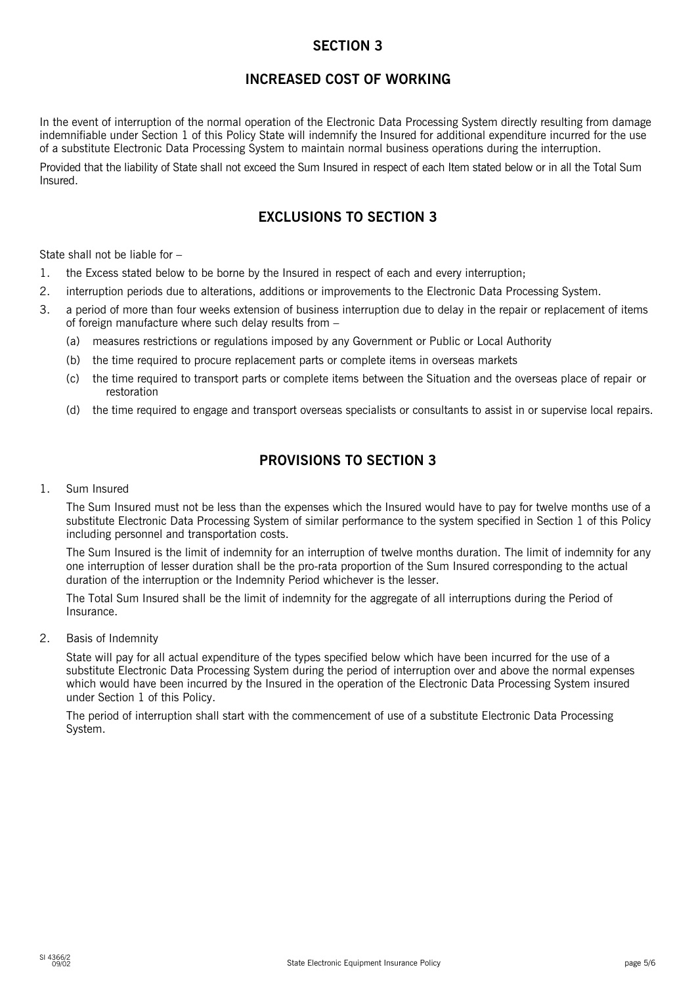# **SECTION 3**

# **INCREASED COST OF WORKING**

In the event of interruption of the normal operation of the Electronic Data Processing System directly resulting from damage indemnifiable under Section 1 of this Policy State will indemnify the Insured for additional expenditure incurred for the use of a substitute Electronic Data Processing System to maintain normal business operations during the interruption.

Provided that the liability of State shall not exceed the Sum Insured in respect of each Item stated below or in all the Total Sum Insured.

# **EXCLUSIONS TO SECTION 3**

State shall not be liable for –

- 1. the Excess stated below to be borne by the Insured in respect of each and every interruption;
- 2. interruption periods due to alterations, additions or improvements to the Electronic Data Processing System.
- 3. a period of more than four weeks extension of business interruption due to delay in the repair or replacement of items of foreign manufacture where such delay results from –
	- (a) measures restrictions or regulations imposed by any Government or Public or Local Authority
	- (b) the time required to procure replacement parts or complete items in overseas markets
	- (c) the time required to transport parts or complete items between the Situation and the overseas place of repair or restoration
	- (d) the time required to engage and transport overseas specialists or consultants to assist in or supervise local repairs.

# **PROVISIONS TO SECTION 3**

1. Sum Insured

The Sum Insured must not be less than the expenses which the Insured would have to pay for twelve months use of a substitute Electronic Data Processing System of similar performance to the system specified in Section 1 of this Policy including personnel and transportation costs.

The Sum Insured is the limit of indemnity for an interruption of twelve months duration. The limit of indemnity for any one interruption of lesser duration shall be the pro-rata proportion of the Sum Insured corresponding to the actual duration of the interruption or the Indemnity Period whichever is the lesser.

The Total Sum Insured shall be the limit of indemnity for the aggregate of all interruptions during the Period of Insurance.

2. Basis of Indemnity

State will pay for all actual expenditure of the types specified below which have been incurred for the use of a substitute Electronic Data Processing System during the period of interruption over and above the normal expenses which would have been incurred by the Insured in the operation of the Electronic Data Processing System insured under Section 1 of this Policy.

The period of interruption shall start with the commencement of use of a substitute Electronic Data Processing System.